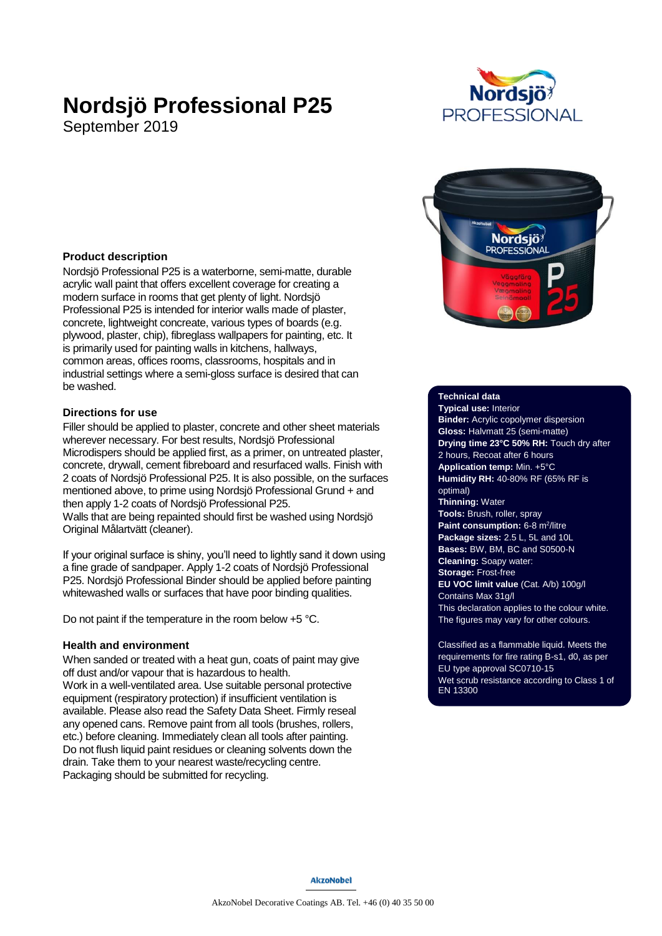# **Nordsjö Professional P25**

September 2019





## **Product description**

Nordsjö Professional P25 is a waterborne, semi-matte, durable acrylic wall paint that offers excellent coverage for creating a modern surface in rooms that get plenty of light. Nordsjö Professional P25 is intended for interior walls made of plaster, concrete, lightweight concreate, various types of boards (e.g. plywood, plaster, chip), fibreglass wallpapers for painting, etc. It is primarily used for painting walls in kitchens, hallways, common areas, offices rooms, classrooms, hospitals and in industrial settings where a semi-gloss surface is desired that can be washed.

## **Directions for use**

Filler should be applied to plaster, concrete and other sheet materials wherever necessary. For best results, Nordsjö Professional Microdispers should be applied first, as a primer, on untreated plaster, concrete, drywall, cement fibreboard and resurfaced walls. Finish with 2 coats of Nordsjö Professional P25. It is also possible, on the surfaces mentioned above, to prime using Nordsjö Professional Grund + and then apply 1-2 coats of Nordsjö Professional P25. Walls that are being repainted should first be washed using Nordsjö Original Målartvätt (cleaner).

If your original surface is shiny, you'll need to lightly sand it down using a fine grade of sandpaper. Apply 1-2 coats of Nordsjö Professional P25. Nordsjö Professional Binder should be applied before painting whitewashed walls or surfaces that have poor binding qualities.

Do not paint if the temperature in the room below +5 °C.

#### **Health and environment**

When sanded or treated with a heat gun, coats of paint may give off dust and/or vapour that is hazardous to health. Work in a well-ventilated area. Use suitable personal protective equipment (respiratory protection) if insufficient ventilation is available. Please also read the Safety Data Sheet. Firmly reseal any opened cans. Remove paint from all tools (brushes, rollers, etc.) before cleaning. Immediately clean all tools after painting. Do not flush liquid paint residues or cleaning solvents down the drain. Take them to your nearest waste/recycling centre. Packaging should be submitted for recycling.

#### **Technical data**

**Typical use:** Interior **Binder:** Acrylic copolymer dispersion **Gloss:** Halvmatt 25 (semi-matte) **Drying time 23°C 50% RH:** Touch dry after 2 hours, Recoat after 6 hours **Application temp:** Min. +5°C **Humidity RH:** 40-80% RF (65% RF is optimal) **Thinning:** Water **Tools:** Brush, roller, spray **Paint consumption:** 6-8 m<sup>2</sup>/litre **Package sizes:** 2.5 L, 5L and 10L **Bases:** BW, BM, BC and S0500-N **Cleaning:** Soapy water: **Storage:** Frost-free **EU VOC limit value** (Cat. A/b) 100g/l Contains Max 31g/l This declaration applies to the colour white. The figures may vary for other colours.

Classified as a flammable liquid. Meets the requirements for fire rating B-s1, d0, as per EU type approval SC0710-15 Wet scrub resistance according to Class 1 of EN 13300